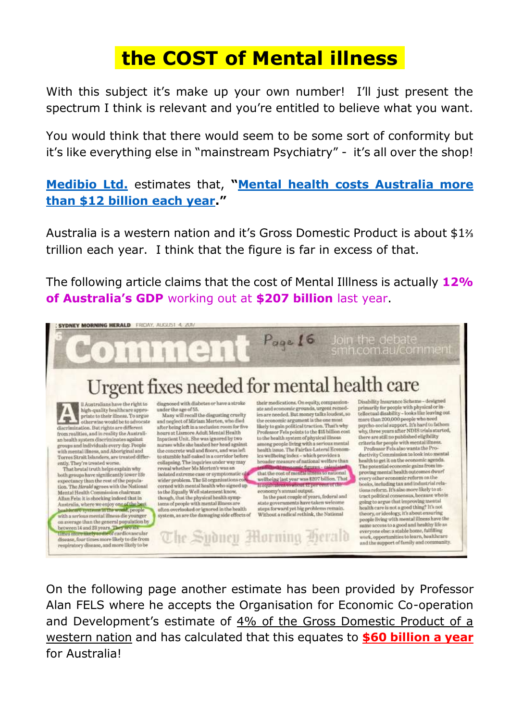## .**the COST of Mental illness**.

With this subject it's make up your own number! I'll just present the spectrum I think is relevant and you're entitled to believe what you want.

You would think that there would seem to be some sort of conformity but it's like everything else in "mainstream Psychiatry" - it's all over the shop!

**[Medibio Ltd.](https://medibio.com.au/)** estimates that, **"[Mental health costs Australia more](https://www.illawarramercury.com.au/story/5348234/mental-health-going-from-talk-to-action)  [than \\$12 billion each year](https://www.illawarramercury.com.au/story/5348234/mental-health-going-from-talk-to-action)."**

Australia is a western nation and it's Gross Domestic Product is about \$1⅔ trillion each year. I think that the figure is far in excess of that.

The following article claims that the cost of Mental Illlness is actually **12% of Australia's GDP** working out at **\$207 billion** last year.



On the following page another estimate has been provided by Professor Alan FELS where he accepts the Organisation for Economic Co-operation and Development's estimate of 4% of the Gross Domestic Product of a western nation and has calculated that this equates to **\$60 billion a year** for Australia!